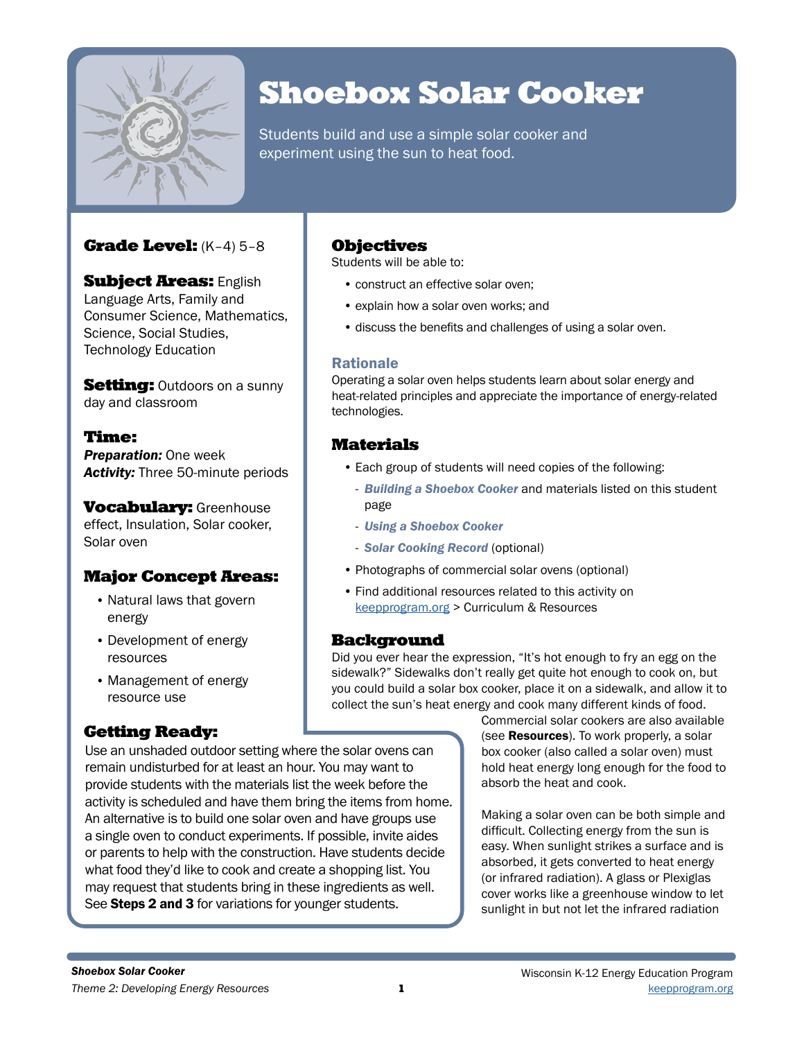

# Shoebox Solar Cooker

Students build and use a simple solar cooker and experiment using the sun to heat food.

## Grade Level: (K–4) 5–8

**Subject Areas: English** Language Arts, Family and Consumer Science, Mathematics, Science, Social Studies, Technology Education

**Setting:** Outdoors on a sunny day and classroom

## Time:

*Preparation:* One week *Activity:* Three 50-minute periods

**Vocabulary: Greenhouse** effect, Insulation, Solar cooker, Solar oven

## Major Concept Areas:

- Natural laws that govern energy
- Development of energy resources
- Management of energy resource use

# Getting Ready:

## **Objectives**

Students will be able to:

- construct an effective solar oven;
- explain how a solar oven works; and
- discuss the benefits and challenges of using a solar oven.

### Rationale

Operating a solar oven helps students learn about solar energy and heat-related principles and appreciate the importance of energy-related technologies.

# Materials

- Each group of students will need copies of the following:
- *Building a Shoebox Cooker* and materials listed on this student page
- *Using a Shoebox Cooker*
- *Solar Cooking Record* (optional)
- Photographs of commercial solar ovens (optional)
- Find additional resources related to this activity on [keepprogram.org](http://keepprogram.org) > Curriculum & Resources

## Background

Did you ever hear the expression, "It's hot enough to fry an egg on the sidewalk?" Sidewalks don't really get quite hot enough to cook on, but you could build a solar box cooker, place it on a sidewalk, and allow it to collect the sun's heat energy and cook many different kinds of food.

Use an unshaded outdoor setting where the solar ovens can remain undisturbed for at least an hour. You may want to provide students with the materials list the week before the activity is scheduled and have them bring the items from home. An alternative is to build one solar oven and have groups use a single oven to conduct experiments. If possible, invite aides or parents to help with the construction. Have students decide what food they'd like to cook and create a shopping list. You may request that students bring in these ingredients as well. See Steps 2 and 3 for variations for younger students.

Commercial solar cookers are also available (see Resources). To work properly, a solar box cooker (also called a solar oven) must hold heat energy long enough for the food to absorb the heat and cook.

Making a solar oven can be both simple and difficult. Collecting energy from the sun is easy. When sunlight strikes a surface and is absorbed, it gets converted to heat energy (or infrared radiation). A glass or Plexiglas cover works like a greenhouse window to let sunlight in but not let the infrared radiation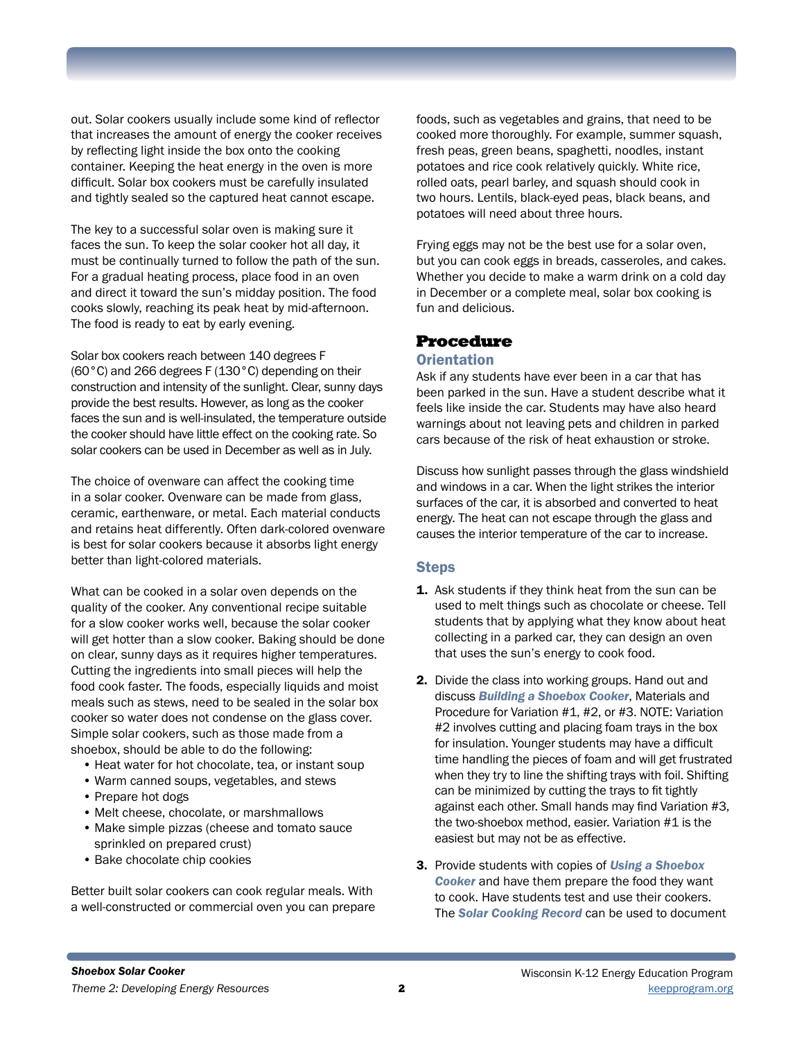out. Solar cookers usually include some kind of reflector that increases the amount of energy the cooker receives by reflecting light inside the box onto the cooking container. Keeping the heat energy in the oven is more difficult. Solar box cookers must be carefully insulated and tightly sealed so the captured heat cannot escape.

The key to a successful solar oven is making sure it faces the sun. To keep the solar cooker hot all day, it must be continually turned to follow the path of the sun. For a gradual heating process, place food in an oven and direct it toward the sun's midday position. The food cooks slowly, reaching its peak heat by mid-afternoon. The food is ready to eat by early evening.

Solar box cookers reach between 140 degrees F (60°C) and 266 degrees F (130°C) depending on their construction and intensity of the sunlight. Clear, sunny days provide the best results. However, as long as the cooker faces the sun and is well-insulated, the temperature outside the cooker should have little effect on the cooking rate. So solar cookers can be used in December as well as in July.

The choice of ovenware can affect the cooking time in a solar cooker. Ovenware can be made from glass, ceramic, earthenware, or metal. Each material conducts and retains heat differently. Often dark-colored ovenware is best for solar cookers because it absorbs light energy better than light-colored materials.

What can be cooked in a solar oven depends on the quality of the cooker. Any conventional recipe suitable for a slow cooker works well, because the solar cooker will get hotter than a slow cooker. Baking should be done on clear, sunny days as it requires higher temperatures. Cutting the ingredients into small pieces will help the food cook faster. The foods, especially liquids and moist meals such as stews, need to be sealed in the solar box cooker so water does not condense on the glass cover. Simple solar cookers, such as those made from a shoebox, should be able to do the following:

- Heat water for hot chocolate, tea, or instant soup
- Warm canned soups, vegetables, and stews
- Prepare hot dogs
- Melt cheese, chocolate, or marshmallows
- Make simple pizzas (cheese and tomato sauce sprinkled on prepared crust)
- Bake chocolate chip cookies

Better built solar cookers can cook regular meals. With a well-constructed or commercial oven you can prepare

foods, such as vegetables and grains, that need to be cooked more thoroughly. For example, summer squash, fresh peas, green beans, spaghetti, noodles, instant potatoes and rice cook relatively quickly. White rice, rolled oats, pearl barley, and squash should cook in two hours. Lentils, black-eyed peas, black beans, and potatoes will need about three hours.

Frying eggs may not be the best use for a solar oven, but you can cook eggs in breads, casseroles, and cakes. Whether you decide to make a warm drink on a cold day in December or a complete meal, solar box cooking is fun and delicious.

### Procedure

#### **Orientation**

Ask if any students have ever been in a car that has been parked in the sun. Have a student describe what it feels like inside the car. Students may have also heard warnings about not leaving pets and children in parked cars because of the risk of heat exhaustion or stroke.

Discuss how sunlight passes through the glass windshield and windows in a car. When the light strikes the interior surfaces of the car, it is absorbed and converted to heat energy. The heat can not escape through the glass and causes the interior temperature of the car to increase.

#### **Steps**

- **1.** Ask students if they think heat from the sun can be used to melt things such as chocolate or cheese. Tell students that by applying what they know about heat collecting in a parked car, they can design an oven that uses the sun's energy to cook food.
- 2. Divide the class into working groups. Hand out and discuss *Building a Shoebox Cooker*, Materials and Procedure for Variation #1, #2, or #3. NOTE: Variation #2 involves cutting and placing foam trays in the box for insulation. Younger students may have a difficult time handling the pieces of foam and will get frustrated when they try to line the shifting trays with foil. Shifting can be minimized by cutting the trays to fit tightly against each other. Small hands may find Variation #3, the two-shoebox method, easier. Variation #1 is the easiest but may not be as effective.
- 3. Provide students with copies of *Using a Shoebox Cooker* and have them prepare the food they want to cook. Have students test and use their cookers. The *Solar Cooking Record* can be used to document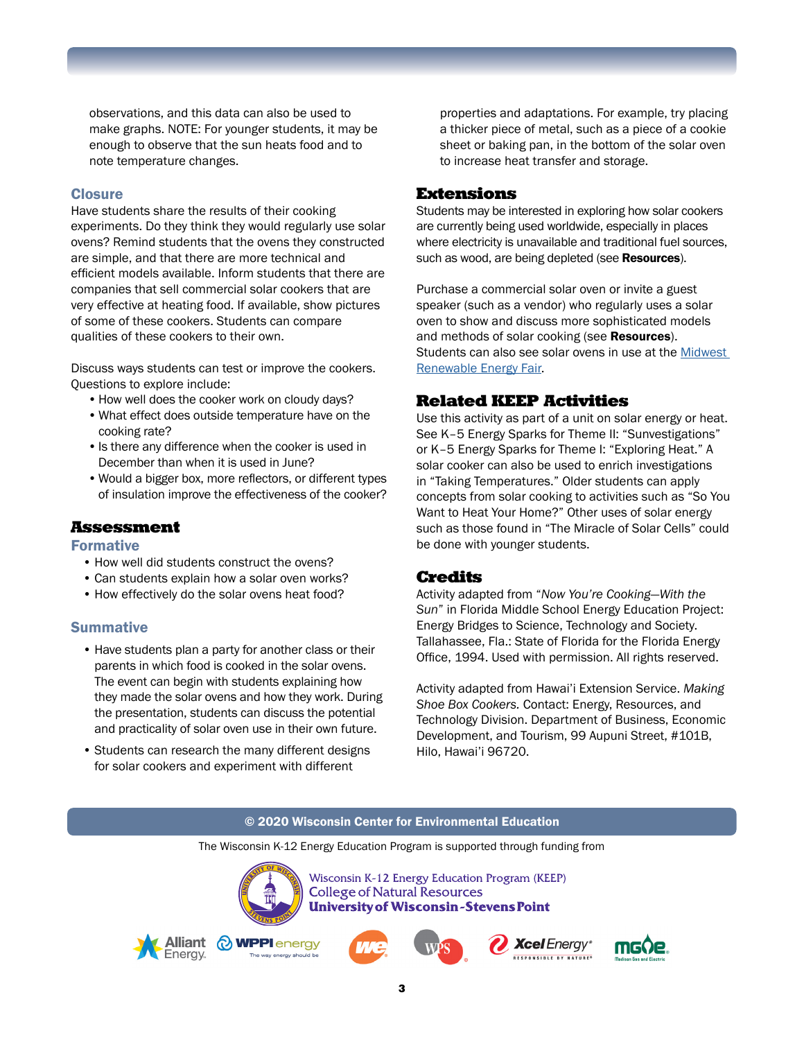observations, and this data can also be used to make graphs. NOTE: For younger students, it may be enough to observe that the sun heats food and to note temperature changes.

#### **Closure**

Have students share the results of their cooking experiments. Do they think they would regularly use solar ovens? Remind students that the ovens they constructed are simple, and that there are more technical and efficient models available. Inform students that there are companies that sell commercial solar cookers that are very effective at heating food. If available, show pictures of some of these cookers. Students can compare qualities of these cookers to their own.

Discuss ways students can test or improve the cookers. Questions to explore include:

- How well does the cooker work on cloudy days?
- •What effect does outside temperature have on the cooking rate?
- Is there any difference when the cooker is used in December than when it is used in June?
- •Would a bigger box, more reflectors, or different types of insulation improve the effectiveness of the cooker?

### Assessment

#### Formative

- How well did students construct the ovens?
- Can students explain how a solar oven works?
- How effectively do the solar ovens heat food?

#### **Summative**

- Have students plan a party for another class or their parents in which food is cooked in the solar ovens. The event can begin with students explaining how they made the solar ovens and how they work. During the presentation, students can discuss the potential and practicality of solar oven use in their own future.
- Students can research the many different designs for solar cookers and experiment with different

properties and adaptations. For example, try placing a thicker piece of metal, such as a piece of a cookie sheet or baking pan, in the bottom of the solar oven to increase heat transfer and storage.

#### Extensions

Students may be interested in exploring how solar cookers are currently being used worldwide, especially in places where electricity is unavailable and traditional fuel sources, such as wood, are being depleted (see Resources).

Purchase a commercial solar oven or invite a guest speaker (such as a vendor) who regularly uses a solar oven to show and discuss more sophisticated models and methods of solar cooking (see Resources). Students can also see solar ovens in use at the [Midwest](https://www.theenergyfair.org/)  [Renewable Energy Fair](https://www.theenergyfair.org/).

### Related KEEP Activities

Use this activity as part of a unit on solar energy or heat. See K–5 Energy Sparks for Theme II: "Sunvestigations" or K–5 Energy Sparks for Theme I: "Exploring Heat." A solar cooker can also be used to enrich investigations in "Taking Temperatures." Older students can apply concepts from solar cooking to activities such as "So You Want to Heat Your Home?" Other uses of solar energy such as those found in "The Miracle of Solar Cells" could be done with younger students.

### Credits

Activity adapted from "*Now You're Cooking—With the Sun*" in Florida Middle School Energy Education Project: Energy Bridges to Science, Technology and Society. Tallahassee, Fla.: State of Florida for the Florida Energy Office, 1994. Used with permission. All rights reserved.

Activity adapted from Hawai'i Extension Service. *Making Shoe Box Cookers.* Contact: Energy, Resources, and Technology Division. Department of Business, Economic Development, and Tourism, 99 Aupuni Street, #101B, Hilo, Hawai'i 96720.

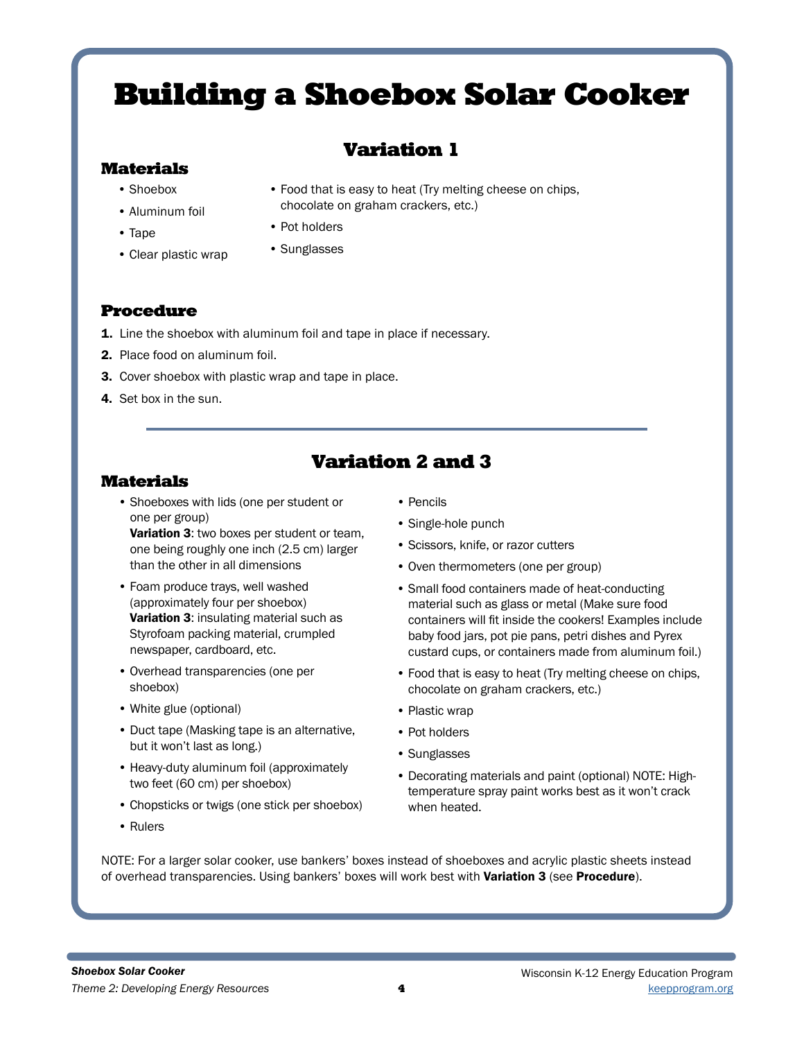# Variation 1

chocolate on graham crackers, etc.)

• Food that is easy to heat (Try melting cheese on chips,

## Materials

- Shoebox
- Aluminum foil
- Tape
- Clear plastic wrap
- Pot holders
	- Sunglasses

## Procedure

- 1. Line the shoebox with aluminum foil and tape in place if necessary.
- 2. Place food on aluminum foil.
- 3. Cover shoebox with plastic wrap and tape in place.
- 4. Set box in the sun.

# Variation 2 and 3

### Materials

• Shoeboxes with lids (one per student or one per group)

Variation 3: two boxes per student or team, one being roughly one inch (2.5 cm) larger than the other in all dimensions

- Foam produce trays, well washed (approximately four per shoebox) Variation 3: insulating material such as Styrofoam packing material, crumpled newspaper, cardboard, etc.
- Overhead transparencies (one per shoebox)
- White glue (optional)
- Duct tape (Masking tape is an alternative, but it won't last as long.)
- Heavy-duty aluminum foil (approximately two feet (60 cm) per shoebox)
- Chopsticks or twigs (one stick per shoebox)
- Rulers
- Pencils
- Single-hole punch
- Scissors, knife, or razor cutters
- Oven thermometers (one per group)
- Small food containers made of heat-conducting material such as glass or metal (Make sure food containers will fit inside the cookers! Examples include baby food jars, pot pie pans, petri dishes and Pyrex custard cups, or containers made from aluminum foil.)
- Food that is easy to heat (Try melting cheese on chips, chocolate on graham crackers, etc.)
- Plastic wrap
- Pot holders
- Sunglasses
- Decorating materials and paint (optional) NOTE: Hightemperature spray paint works best as it won't crack when heated.

NOTE: For a larger solar cooker, use bankers' boxes instead of shoeboxes and acrylic plastic sheets instead of overhead transparencies. Using bankers' boxes will work best with Variation 3 (see Procedure).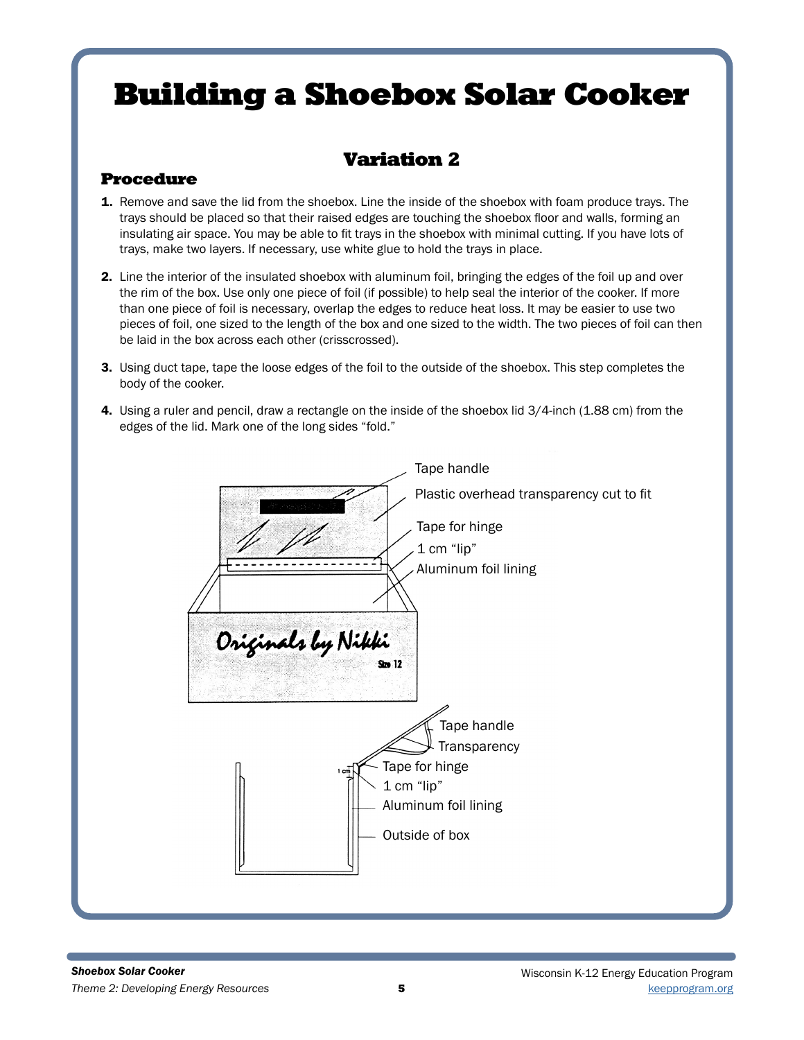# Variation 2

## Procedure

- 1. Remove and save the lid from the shoebox. Line the inside of the shoebox with foam produce trays. The trays should be placed so that their raised edges are touching the shoebox floor and walls, forming an insulating air space. You may be able to fit trays in the shoebox with minimal cutting. If you have lots of trays, make two layers. If necessary, use white glue to hold the trays in place.
- 2. Line the interior of the insulated shoebox with aluminum foil, bringing the edges of the foil up and over the rim of the box. Use only one piece of foil (if possible) to help seal the interior of the cooker. If more than one piece of foil is necessary, overlap the edges to reduce heat loss. It may be easier to use two pieces of foil, one sized to the length of the box and one sized to the width. The two pieces of foil can then be laid in the box across each other (crisscrossed).
- 3. Using duct tape, tape the loose edges of the foil to the outside of the shoebox. This step completes the body of the cooker.
- 4. Using a ruler and pencil, draw a rectangle on the inside of the shoebox lid 3/4-inch (1.88 cm) from the edges of the lid. Mark one of the long sides "fold."

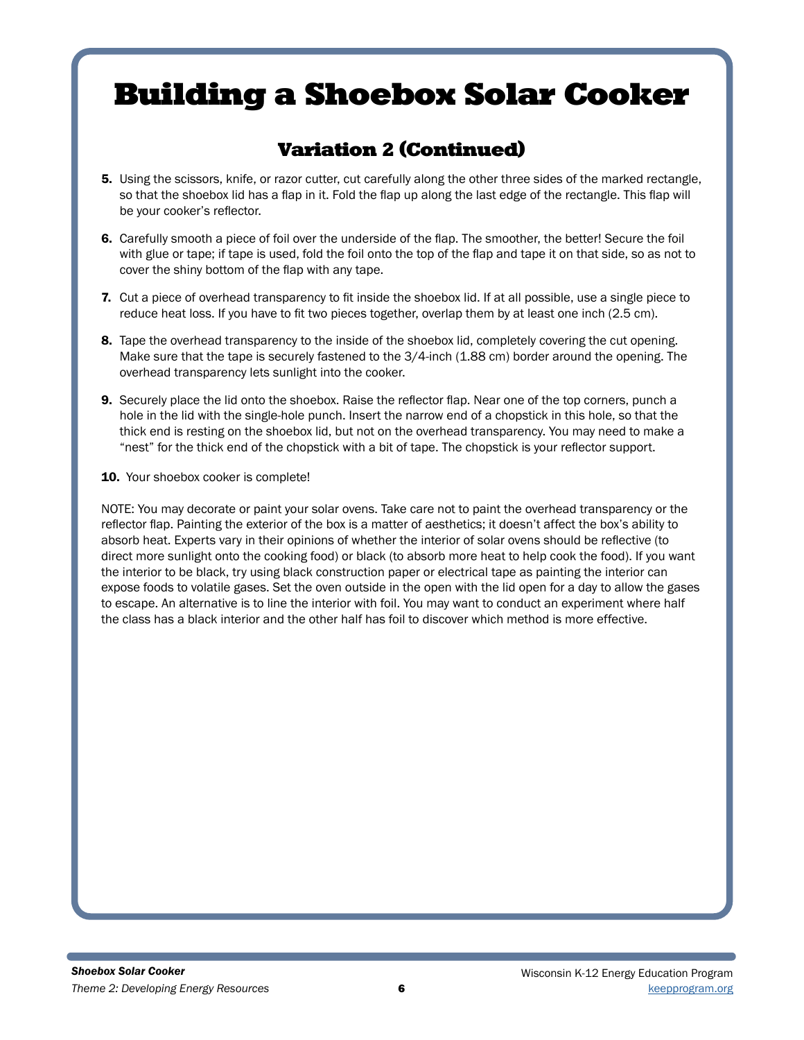# Variation 2 (Continued)

- 5. Using the scissors, knife, or razor cutter, cut carefully along the other three sides of the marked rectangle, so that the shoebox lid has a flap in it. Fold the flap up along the last edge of the rectangle. This flap will be your cooker's reflector.
- 6. Carefully smooth a piece of foil over the underside of the flap. The smoother, the better! Secure the foil with glue or tape; if tape is used, fold the foil onto the top of the flap and tape it on that side, so as not to cover the shiny bottom of the flap with any tape.
- 7. Cut a piece of overhead transparency to fit inside the shoebox lid. If at all possible, use a single piece to reduce heat loss. If you have to fit two pieces together, overlap them by at least one inch (2.5 cm).
- 8. Tape the overhead transparency to the inside of the shoebox lid, completely covering the cut opening. Make sure that the tape is securely fastened to the 3/4-inch (1.88 cm) border around the opening. The overhead transparency lets sunlight into the cooker.
- **9.** Securely place the lid onto the shoebox. Raise the reflector flap. Near one of the top corners, punch a hole in the lid with the single-hole punch. Insert the narrow end of a chopstick in this hole, so that the thick end is resting on the shoebox lid, but not on the overhead transparency. You may need to make a "nest" for the thick end of the chopstick with a bit of tape. The chopstick is your reflector support.
- 10. Your shoebox cooker is complete!

NOTE: You may decorate or paint your solar ovens. Take care not to paint the overhead transparency or the reflector flap. Painting the exterior of the box is a matter of aesthetics; it doesn't affect the box's ability to absorb heat. Experts vary in their opinions of whether the interior of solar ovens should be reflective (to direct more sunlight onto the cooking food) or black (to absorb more heat to help cook the food). If you want the interior to be black, try using black construction paper or electrical tape as painting the interior can expose foods to volatile gases. Set the oven outside in the open with the lid open for a day to allow the gases to escape. An alternative is to line the interior with foil. You may want to conduct an experiment where half the class has a black interior and the other half has foil to discover which method is more effective.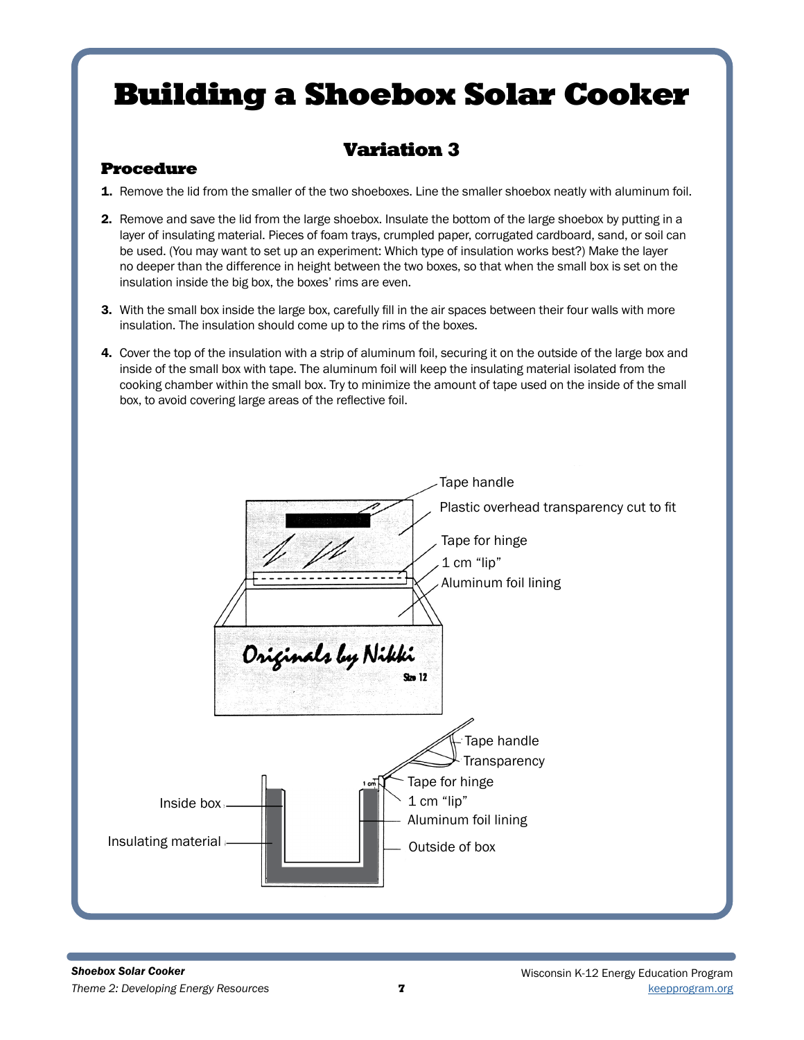# Variation 3

## Procedure

- 1. Remove the lid from the smaller of the two shoeboxes. Line the smaller shoebox neatly with aluminum foil.
- 2. Remove and save the lid from the large shoebox. Insulate the bottom of the large shoebox by putting in a layer of insulating material. Pieces of foam trays, crumpled paper, corrugated cardboard, sand, or soil can be used. (You may want to set up an experiment: Which type of insulation works best?) Make the layer no deeper than the difference in height between the two boxes, so that when the small box is set on the insulation inside the big box, the boxes' rims are even.
- 3. With the small box inside the large box, carefully fill in the air spaces between their four walls with more insulation. The insulation should come up to the rims of the boxes.
- 4. Cover the top of the insulation with a strip of aluminum foil, securing it on the outside of the large box and inside of the small box with tape. The aluminum foil will keep the insulating material isolated from the cooking chamber within the small box. Try to minimize the amount of tape used on the inside of the small box, to avoid covering large areas of the reflective foil.

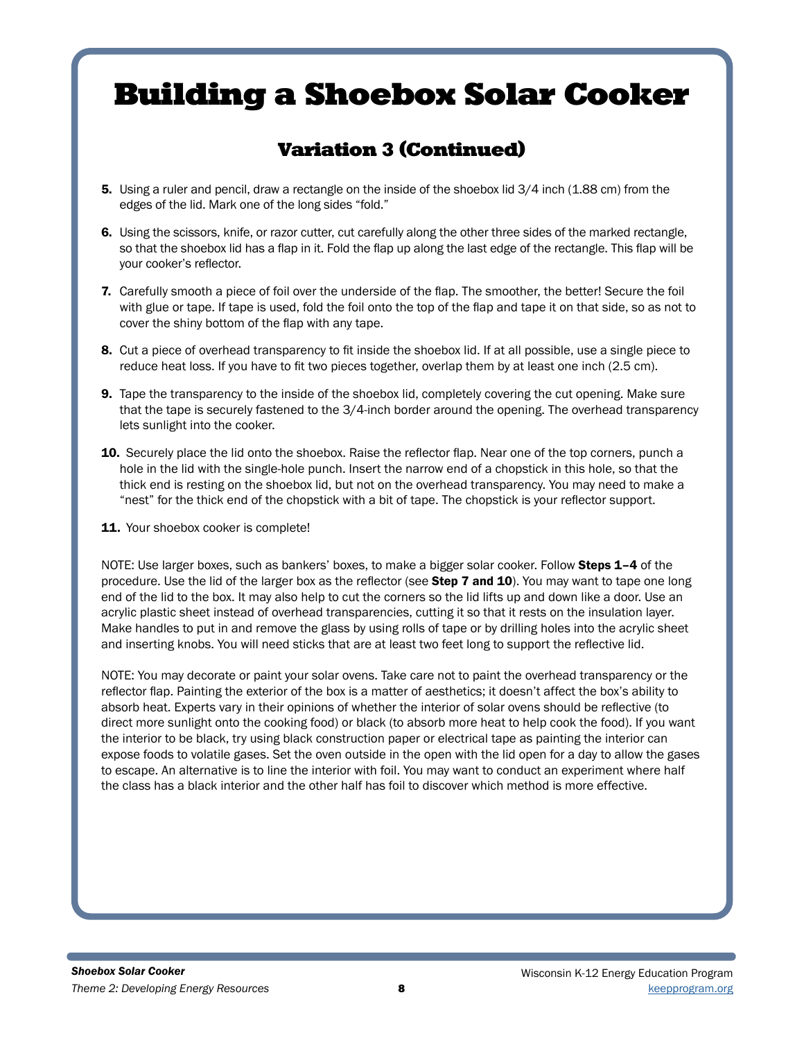# Variation 3 (Continued)

- 5. Using a ruler and pencil, draw a rectangle on the inside of the shoebox lid 3/4 inch (1.88 cm) from the edges of the lid. Mark one of the long sides "fold."
- 6. Using the scissors, knife, or razor cutter, cut carefully along the other three sides of the marked rectangle, so that the shoebox lid has a flap in it. Fold the flap up along the last edge of the rectangle. This flap will be your cooker's reflector.
- 7. Carefully smooth a piece of foil over the underside of the flap. The smoother, the better! Secure the foil with glue or tape. If tape is used, fold the foil onto the top of the flap and tape it on that side, so as not to cover the shiny bottom of the flap with any tape.
- 8. Cut a piece of overhead transparency to fit inside the shoebox lid. If at all possible, use a single piece to reduce heat loss. If you have to fit two pieces together, overlap them by at least one inch (2.5 cm).
- **9.** Tape the transparency to the inside of the shoebox lid, completely covering the cut opening. Make sure that the tape is securely fastened to the 3/4-inch border around the opening. The overhead transparency lets sunlight into the cooker.
- **10.** Securely place the lid onto the shoebox. Raise the reflector flap. Near one of the top corners, punch a hole in the lid with the single-hole punch. Insert the narrow end of a chopstick in this hole, so that the thick end is resting on the shoebox lid, but not on the overhead transparency. You may need to make a "nest" for the thick end of the chopstick with a bit of tape. The chopstick is your reflector support.
- 11. Your shoebox cooker is complete!

NOTE: Use larger boxes, such as bankers' boxes, to make a bigger solar cooker. Follow Steps 1–4 of the procedure. Use the lid of the larger box as the reflector (see Step 7 and 10). You may want to tape one long end of the lid to the box. It may also help to cut the corners so the lid lifts up and down like a door. Use an acrylic plastic sheet instead of overhead transparencies, cutting it so that it rests on the insulation layer. Make handles to put in and remove the glass by using rolls of tape or by drilling holes into the acrylic sheet and inserting knobs. You will need sticks that are at least two feet long to support the reflective lid.

NOTE: You may decorate or paint your solar ovens. Take care not to paint the overhead transparency or the reflector flap. Painting the exterior of the box is a matter of aesthetics; it doesn't affect the box's ability to absorb heat. Experts vary in their opinions of whether the interior of solar ovens should be reflective (to direct more sunlight onto the cooking food) or black (to absorb more heat to help cook the food). If you want the interior to be black, try using black construction paper or electrical tape as painting the interior can expose foods to volatile gases. Set the oven outside in the open with the lid open for a day to allow the gases to escape. An alternative is to line the interior with foil. You may want to conduct an experiment where half the class has a black interior and the other half has foil to discover which method is more effective.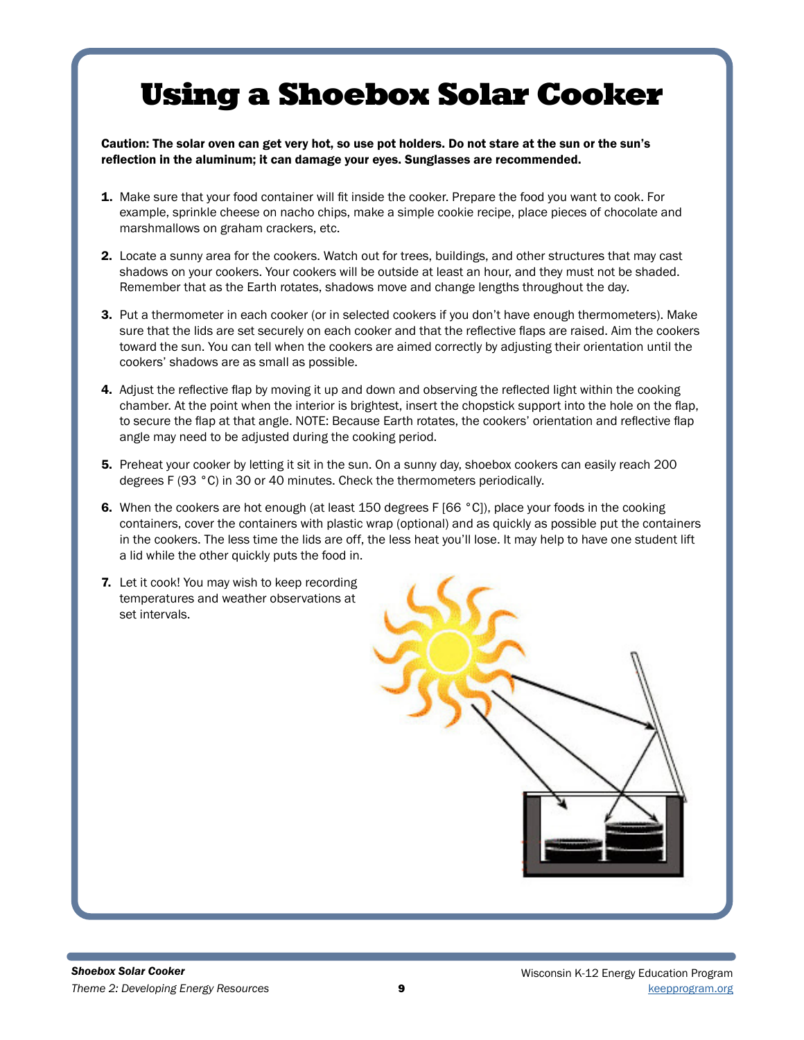# Using a Shoebox Solar Cooker

Caution: The solar oven can get very hot, so use pot holders. Do not stare at the sun or the sun's reflection in the aluminum; it can damage your eyes. Sunglasses are recommended.

- 1. Make sure that your food container will fit inside the cooker. Prepare the food you want to cook. For example, sprinkle cheese on nacho chips, make a simple cookie recipe, place pieces of chocolate and marshmallows on graham crackers, etc.
- 2. Locate a sunny area for the cookers. Watch out for trees, buildings, and other structures that may cast shadows on your cookers. Your cookers will be outside at least an hour, and they must not be shaded. Remember that as the Earth rotates, shadows move and change lengths throughout the day.
- 3. Put a thermometer in each cooker (or in selected cookers if you don't have enough thermometers). Make sure that the lids are set securely on each cooker and that the reflective flaps are raised. Aim the cookers toward the sun. You can tell when the cookers are aimed correctly by adjusting their orientation until the cookers' shadows are as small as possible.
- 4. Adjust the reflective flap by moving it up and down and observing the reflected light within the cooking chamber. At the point when the interior is brightest, insert the chopstick support into the hole on the flap, to secure the flap at that angle. NOTE: Because Earth rotates, the cookers' orientation and reflective flap angle may need to be adjusted during the cooking period.
- 5. Preheat your cooker by letting it sit in the sun. On a sunny day, shoebox cookers can easily reach 200 degrees F (93 °C) in 30 or 40 minutes. Check the thermometers periodically.
- 6. When the cookers are hot enough (at least 150 degrees F [66 °C]), place your foods in the cooking containers, cover the containers with plastic wrap (optional) and as quickly as possible put the containers in the cookers. The less time the lids are off, the less heat you'll lose. It may help to have one student lift a lid while the other quickly puts the food in.
- 7. Let it cook! You may wish to keep recording temperatures and weather observations at set intervals.